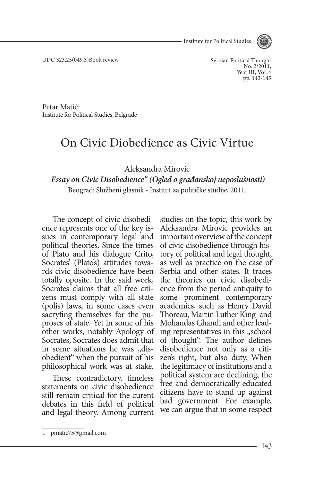Institute for Political Studies



UDC 323.25(049.3)Book review

Serbian Political Thought No. 2/2011. Year III, Vol. 4 pp. 143-145

Petar Matić1 Institute for Political Studies, Belgrade

## On Civic Diobedience as Civic Virtue

Aleksandra Mirovic

## *Essay on Civic Disobedience" (Ogled o građanskoj neposlušnosti)* Beograd: Službeni glasnik - Institut za političke studije, 2011.

The concept of civic disobedience represents one of the key is- sues in contemporary legal and political theories. Since the times of Plato and his dialogue Crito, Socrates' (Plato's) attitudes towards civic disobedience have been totally oposite. In the said work, Socrates claims that all free citizens must comply with all state (polis) laws, in some cases even sacryfing themselves for the puproses of state. Yet in some of his other works, notably Apology of Socrates, Socrates does admit that in some situations he was "disobedient" when the pursuit of his philosophical work was at stake.

These contradictory, timeless statements on civic disobedience still remain critical for the curent debates in this field of political and legal theory. Among current

studies on the topic, this work by Aleksandra Mirovic provides an important overview of the concept of civic disobedience through history of political and legal thought, as well as practice on the case of Serbia and other states. It traces<br>the theories on civic disobedience from the period antiquity to some prominent contemporary academics, such as Henry David Thoreau, Martin Luther King and Mohandas Ghandi and other lead-<br>ing representatives in this "school of thought". The author defines disobedience not only as a citizen's right, but also duty. When the legitimacy of institutions and a political system are declining, the free and democratically educated citizens have to stand up against bad government. For example, we can argue that in some respect

<sup>1</sup> pmatic75@gmail.com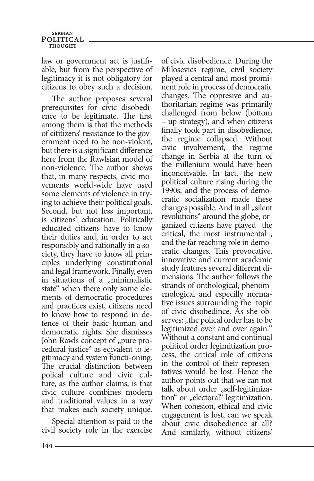## **SERBIAN** POLITICAL **THOUGHT**

law or government act is justifiable, but from the perspective of legitimacy it is not obligatory for citizens to obey such a decision.

The author proposes several prerequisites for civic disobedience to be legitimate. The first among them is that the methods of cititizens' resistance to the government need to be non-violent, but there is a significant difference here from the Rawlsian model of non-violence. The author shows that, in many respects, civic movements world-wide have used some elements of violence in trying to achieve their political goals. Second, but not less important, is citizens' education. Politically educated citizens have to know their duties and, in order to act responsibly and rationally in a society, they have to know all prin-<br>ciples underlying constitutional and legal framework. Finally, even in situations of a  $_{\rm{m}}$ minimalistic state" when there only some ele- ments of democratic procedures and practices exist, citizens need to know how to respond in de- fence of their basic human and democratic rights. She dismisses John Rawls concept of "pure pro-<br>cedural justice" as eqivalent to legitimacy and system functi-oning. The crucial distinction between polical culture and civic culture, as the author claims, is that civic culture combines modern and traditional values in a way that makes each society unique.

Special attention is paid to the civil society role in the exercise of civic disobedience. During the Milosevics regime, civil society played a central and most promi- nent role in process of democratic changes. The oppresive and authoritarian regime was primarily challenged from below (bottom – up strategy), and when citizens finally took part in disobedience, the regime collapsed. Without civic involvement, the regime change in Serbia at the turn of the millenium would have been inconceivable. In fact, the new political culture rising during the 1990s, and the process of democratic socialization made these changes possible. And in all "silent revolutions" around the globe, or- ganized citizens have played the critical, the most instrumental , and the far reaching role in demo- cratic changes. This provocative, innovative and current academic study features several different dimensions. The author follows the strands of onthological, phenom- enological and especilly normative issues surrounding the topic of civic disobedince. As she observes: "the polical order has to be legitimized over and over again." Without a constant and continual political order legimitization process, the critical role of citizens in the control of their represen- tatives would be lost. Hence the author points out that we can not talk about order "self-legitimiza-<br>tion" or "electoral" legitimization. When cohesion, ethical and civic engagement is lost, can we speak about civic disobedience at all? And similarly, without citizens'